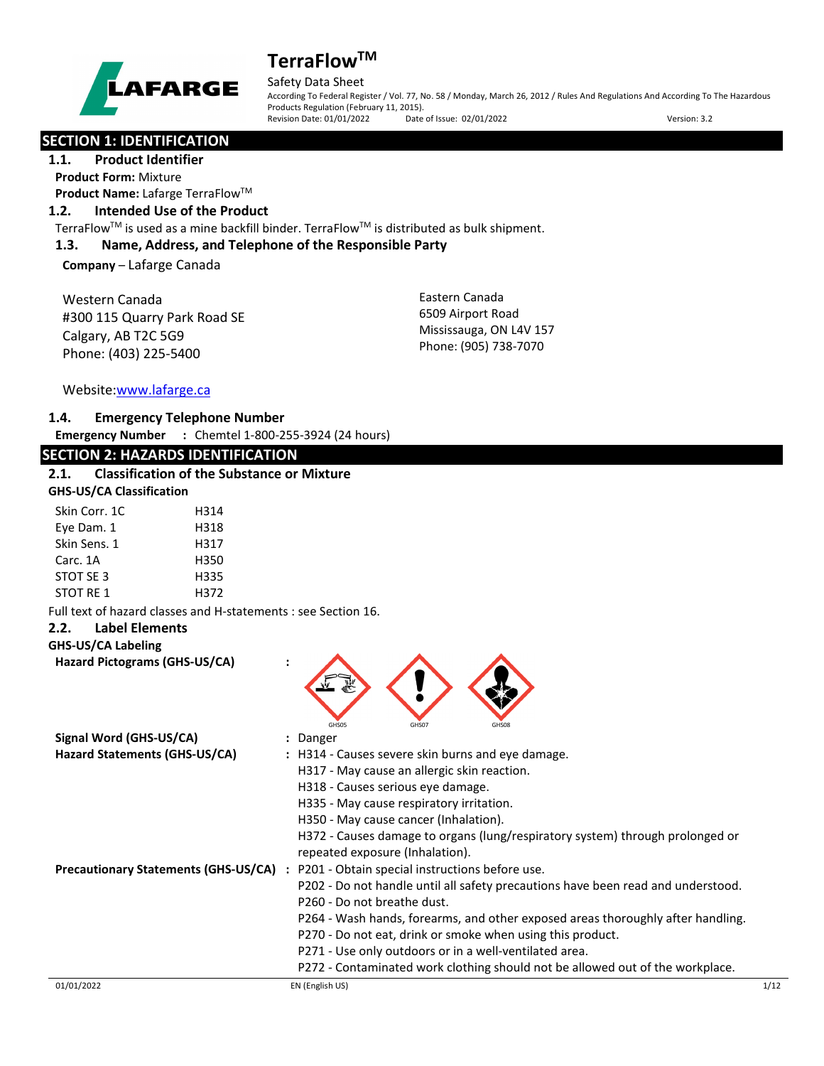

## Safety Data Sheet

According To Federal Register / Vol. 77, No. 58 / Monday, March 26, 2012 / Rules And Regulations And According To The Hazardous Products Regulation (February 11, 2015).<br>Revision Date: 01/01/2022 Date of Issue: 02/01/2022 Revision Date: 01/01/2022 Date of Issue: 02/01/2022 Version: 3.2

## **SECTION 1: IDENTIFICATION**

**1.1. Product Identifier Product Form:** Mixture **Product Name: Lafarge TerraFlow™** 

### **1.2. Intended Use of the Product**

TerraFlow™ is used as a mine backfill binder. TerraFlow™ is distributed as bulk shipment.

### **1.3. Name, Address, and Telephone of the Responsible Party**

**Company** – Lafarge Canada

Western Canada #300 115 Quarry Park Road SE Calgary, AB T2C 5G9 Phone: (403) 225-5400

Eastern Canada 6509 Airport Road Mississauga, ON L4V 157 Phone: (905) 738-7070

Website[:www.lafarge.ca](file://leon/customers/CUSTOMERS/Lafarge_North_America_Inc/Projects/Authoring_20180316/Batch_Folder/B_Draft_SDS/MS_Word_Files/www.lafarge.ca)

### **1.4. Emergency Telephone Number**

**Emergency Number :** Chemtel 1-800-255-3924 (24 hours)

## **SECTION 2: HAZARDS IDENTIFICATION**

| 2.1. | <b>Classification of the Substance or Mixture</b> |
|------|---------------------------------------------------|
|      | <b>GHS-US/CA Classification</b>                   |

| Skin Corr. 1C | H314 |
|---------------|------|
| Eye Dam. 1    | H318 |
| Skin Sens. 1  | H317 |
| Carc. 1A      | H350 |
| STOT SE 3     | H335 |
| STOT RF 1     | H372 |

Full text of hazard classes and H-statements : see Section 16.

### **2.2. Label Elements**

### **GHS-US/CA Labeling**

**Hazard Pictograms (GHS-US/CA) :**



| Signal Word (GHS-US/CA)                     | : Danger                                                                         |      |
|---------------------------------------------|----------------------------------------------------------------------------------|------|
| Hazard Statements (GHS-US/CA)               | : H314 - Causes severe skin burns and eye damage.                                |      |
|                                             | H317 - May cause an allergic skin reaction.                                      |      |
|                                             | H318 - Causes serious eye damage.                                                |      |
|                                             | H335 - May cause respiratory irritation.                                         |      |
|                                             | H350 - May cause cancer (Inhalation).                                            |      |
|                                             | H372 - Causes damage to organs (lung/respiratory system) through prolonged or    |      |
|                                             | repeated exposure (Inhalation).                                                  |      |
| <b>Precautionary Statements (GHS-US/CA)</b> | : P201 - Obtain special instructions before use.                                 |      |
|                                             | P202 - Do not handle until all safety precautions have been read and understood. |      |
|                                             | P260 - Do not breathe dust.                                                      |      |
|                                             | P264 - Wash hands, forearms, and other exposed areas thoroughly after handling.  |      |
|                                             | P270 - Do not eat, drink or smoke when using this product.                       |      |
|                                             | P271 - Use only outdoors or in a well-ventilated area.                           |      |
|                                             | P272 - Contaminated work clothing should not be allowed out of the workplace.    |      |
| 01/01/2022                                  | EN (English US)                                                                  | 1/12 |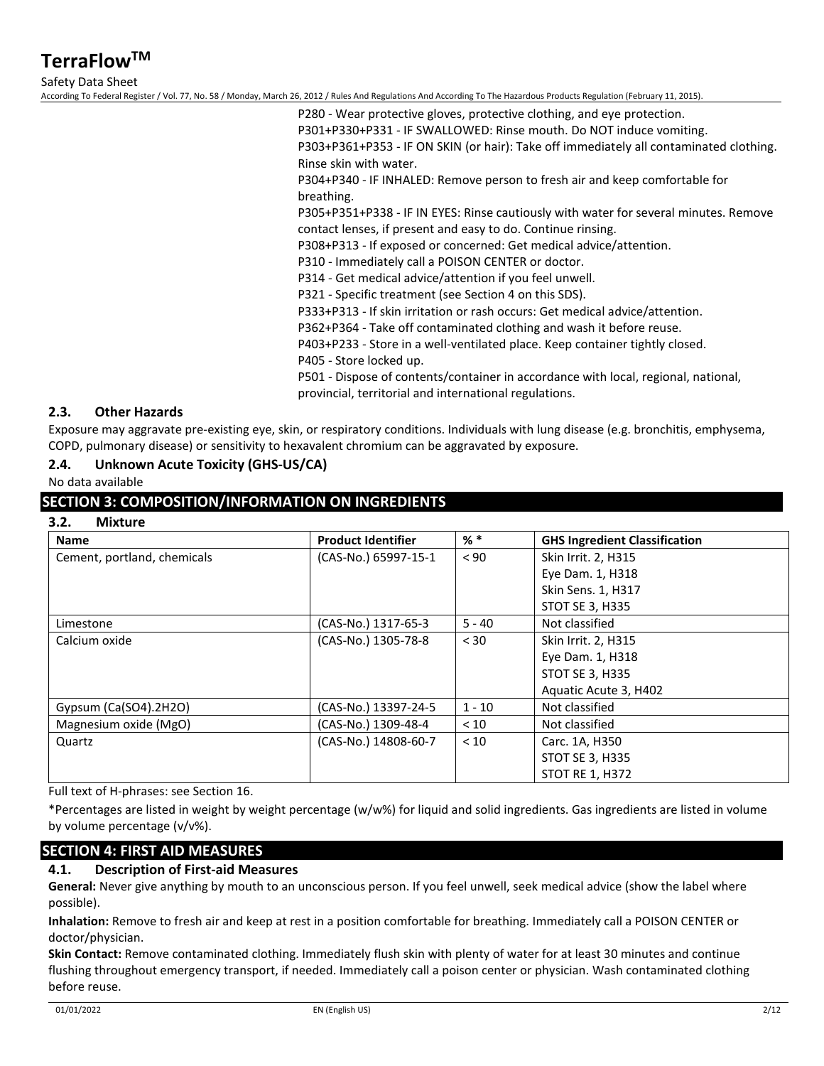Safety Data Sheet

According To Federal Register / Vol. 77, No. 58 / Monday, March 26, 2012 / Rules And Regulations And According To The Hazardous Products Regulation (February 11, 2015).

P280 - Wear protective gloves, protective clothing, and eye protection. P301+P330+P331 - IF SWALLOWED: Rinse mouth. Do NOT induce vomiting. P303+P361+P353 - IF ON SKIN (or hair): Take off immediately all contaminated clothing. Rinse skin with water.

P304+P340 - IF INHALED: Remove person to fresh air and keep comfortable for breathing.

P305+P351+P338 - IF IN EYES: Rinse cautiously with water for several minutes. Remove contact lenses, if present and easy to do. Continue rinsing.

P308+P313 - If exposed or concerned: Get medical advice/attention.

P310 - Immediately call a POISON CENTER or doctor.

P314 - Get medical advice/attention if you feel unwell.

P321 - Specific treatment (see Section 4 on this SDS).

P333+P313 - If skin irritation or rash occurs: Get medical advice/attention.

P362+P364 - Take off contaminated clothing and wash it before reuse.

P403+P233 - Store in a well-ventilated place. Keep container tightly closed.

P405 - Store locked up.

P501 - Dispose of contents/container in accordance with local, regional, national, provincial, territorial and international regulations.

### **2.3. Other Hazards**

Exposure may aggravate pre-existing eye, skin, or respiratory conditions. Individuals with lung disease (e.g. bronchitis, emphysema, COPD, pulmonary disease) or sensitivity to hexavalent chromium can be aggravated by exposure.

### **2.4. Unknown Acute Toxicity (GHS-US/CA)**

No data available

### **SECTION 3: COMPOSITION/INFORMATION ON INGREDIENTS**

| Mixture |
|---------|
|         |
|         |

| <b>Name</b>                 | <b>Product Identifier</b> | $%$ $*$  | <b>GHS Ingredient Classification</b> |
|-----------------------------|---------------------------|----------|--------------------------------------|
| Cement, portland, chemicals | (CAS-No.) 65997-15-1      | < 90     | Skin Irrit. 2, H315                  |
|                             |                           |          | Eye Dam. 1, H318                     |
|                             |                           |          | Skin Sens. 1, H317                   |
|                             |                           |          | <b>STOT SE 3, H335</b>               |
| Limestone                   | (CAS-No.) 1317-65-3       | $5 - 40$ | Not classified                       |
| Calcium oxide               | (CAS-No.) 1305-78-8       | < 30     | Skin Irrit. 2, H315                  |
|                             |                           |          | Eye Dam. 1, H318                     |
|                             |                           |          | <b>STOT SE 3, H335</b>               |
|                             |                           |          | Aquatic Acute 3, H402                |
| Gypsum (Ca(SO4).2H2O)       | (CAS-No.) 13397-24-5      | $1 - 10$ | Not classified                       |
| Magnesium oxide (MgO)       | (CAS-No.) 1309-48-4       | < 10     | Not classified                       |
| Quartz                      | (CAS-No.) 14808-60-7      | < 10     | Carc. 1A, H350                       |
|                             |                           |          | <b>STOT SE 3, H335</b>               |
|                             |                           |          | <b>STOT RE 1, H372</b>               |

Full text of H-phrases: see Section 16.

\*Percentages are listed in weight by weight percentage (w/w%) for liquid and solid ingredients. Gas ingredients are listed in volume by volume percentage (v/v%).

## **SECTION 4: FIRST AID MEASURES**

### **4.1. Description of First-aid Measures**

**General:** Never give anything by mouth to an unconscious person. If you feel unwell, seek medical advice (show the label where possible).

**Inhalation:** Remove to fresh air and keep at rest in a position comfortable for breathing. Immediately call a POISON CENTER or doctor/physician.

**Skin Contact:** Remove contaminated clothing. Immediately flush skin with plenty of water for at least 30 minutes and continue flushing throughout emergency transport, if needed. Immediately call a poison center or physician. Wash contaminated clothing before reuse.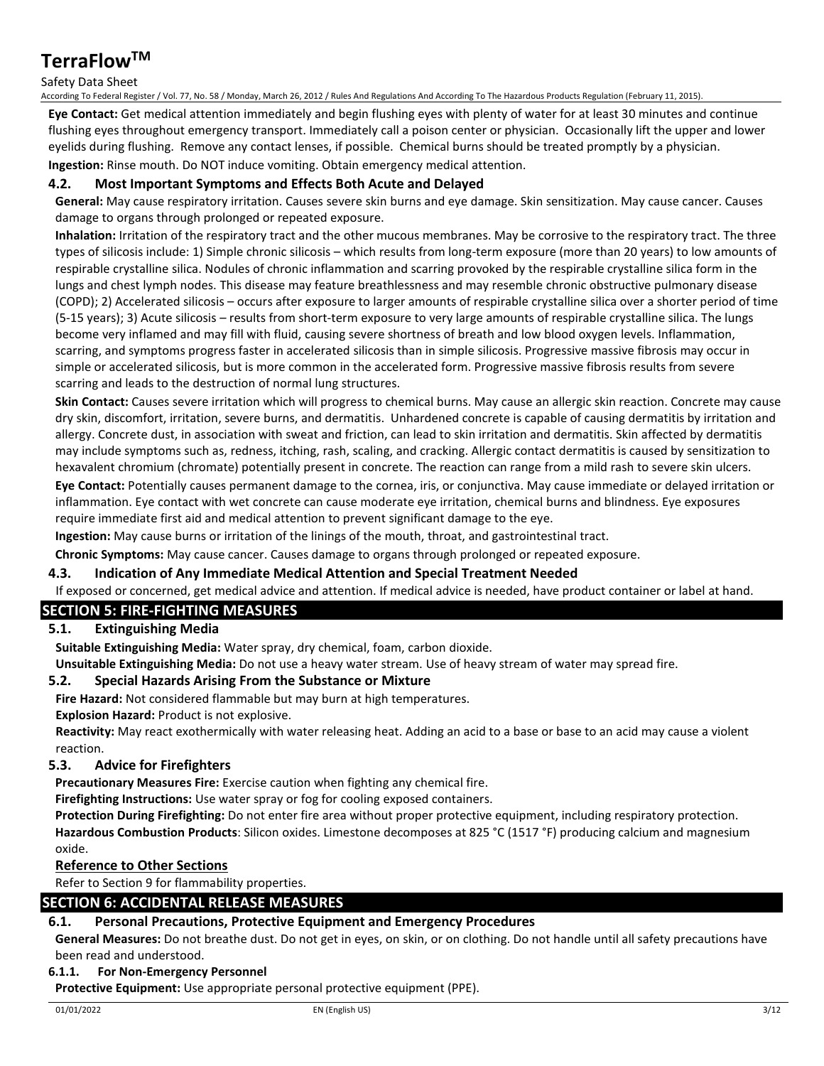### Safety Data Sheet

According To Federal Register / Vol. 77, No. 58 / Monday, March 26, 2012 / Rules And Regulations And According To The Hazardous Products Regulation (February 11, 2015).

**Eye Contact:** Get medical attention immediately and begin flushing eyes with plenty of water for at least 30 minutes and continue flushing eyes throughout emergency transport. Immediately call a poison center or physician. Occasionally lift the upper and lower eyelids during flushing. Remove any contact lenses, if possible. Chemical burns should be treated promptly by a physician. **Ingestion:** Rinse mouth. Do NOT induce vomiting. Obtain emergency medical attention.

### **4.2. Most Important Symptoms and Effects Both Acute and Delayed**

**General:** May cause respiratory irritation. Causes severe skin burns and eye damage. Skin sensitization. May cause cancer. Causes damage to organs through prolonged or repeated exposure.

**Inhalation:** Irritation of the respiratory tract and the other mucous membranes. May be corrosive to the respiratory tract. The three types of silicosis include: 1) Simple chronic silicosis – which results from long-term exposure (more than 20 years) to low amounts of respirable crystalline silica. Nodules of chronic inflammation and scarring provoked by the respirable crystalline silica form in the lungs and chest lymph nodes. This disease may feature breathlessness and may resemble chronic obstructive pulmonary disease (COPD); 2) Accelerated silicosis – occurs after exposure to larger amounts of respirable crystalline silica over a shorter period of time (5-15 years); 3) Acute silicosis – results from short-term exposure to very large amounts of respirable crystalline silica. The lungs become very inflamed and may fill with fluid, causing severe shortness of breath and low blood oxygen levels. Inflammation, scarring, and symptoms progress faster in accelerated silicosis than in simple silicosis. Progressive massive fibrosis may occur in simple or accelerated silicosis, but is more common in the accelerated form. Progressive massive fibrosis results from severe scarring and leads to the destruction of normal lung structures.

**Skin Contact:** Causes severe irritation which will progress to chemical burns. May cause an allergic skin reaction. Concrete may cause dry skin, discomfort, irritation, severe burns, and dermatitis. Unhardened concrete is capable of causing dermatitis by irritation and allergy. Concrete dust, in association with sweat and friction, can lead to skin irritation and dermatitis. Skin affected by dermatitis may include symptoms such as, redness, itching, rash, scaling, and cracking. Allergic contact dermatitis is caused by sensitization to hexavalent chromium (chromate) potentially present in concrete. The reaction can range from a mild rash to severe skin ulcers.

**Eye Contact:** Potentially causes permanent damage to the cornea, iris, or conjunctiva. May cause immediate or delayed irritation or inflammation. Eye contact with wet concrete can cause moderate eye irritation, chemical burns and blindness. Eye exposures require immediate first aid and medical attention to prevent significant damage to the eye.

**Ingestion:** May cause burns or irritation of the linings of the mouth, throat, and gastrointestinal tract.

**Chronic Symptoms:** May cause cancer. Causes damage to organs through prolonged or repeated exposure.

#### **4.3. Indication of Any Immediate Medical Attention and Special Treatment Needed**

If exposed or concerned, get medical advice and attention. If medical advice is needed, have product container or label at hand.

## **SECTION 5: FIRE-FIGHTING MEASURES**

### **5.1. Extinguishing Media**

**Suitable Extinguishing Media:** Water spray, dry chemical, foam, carbon dioxide.

**Unsuitable Extinguishing Media:** Do not use a heavy water stream. Use of heavy stream of water may spread fire.

### **5.2. Special Hazards Arising From the Substance or Mixture**

**Fire Hazard:** Not considered flammable but may burn at high temperatures.

**Explosion Hazard:** Product is not explosive.

**Reactivity:** May react exothermically with water releasing heat. Adding an acid to a base or base to an acid may cause a violent reaction.

### **5.3. Advice for Firefighters**

**Precautionary Measures Fire:** Exercise caution when fighting any chemical fire.

**Firefighting Instructions:** Use water spray or fog for cooling exposed containers.

**Protection During Firefighting:** Do not enter fire area without proper protective equipment, including respiratory protection. **Hazardous Combustion Products**: Silicon oxides. Limestone decomposes at 825 °C (1517 °F) producing calcium and magnesium oxide.

### **Reference to Other Sections**

Refer to Section 9 for flammability properties.

## **SECTION 6: ACCIDENTAL RELEASE MEASURES**

### **6.1. Personal Precautions, Protective Equipment and Emergency Procedures**

**General Measures:** Do not breathe dust. Do not get in eyes, on skin, or on clothing. Do not handle until all safety precautions have been read and understood.

#### **6.1.1. For Non-Emergency Personnel**

**Protective Equipment:** Use appropriate personal protective equipment (PPE).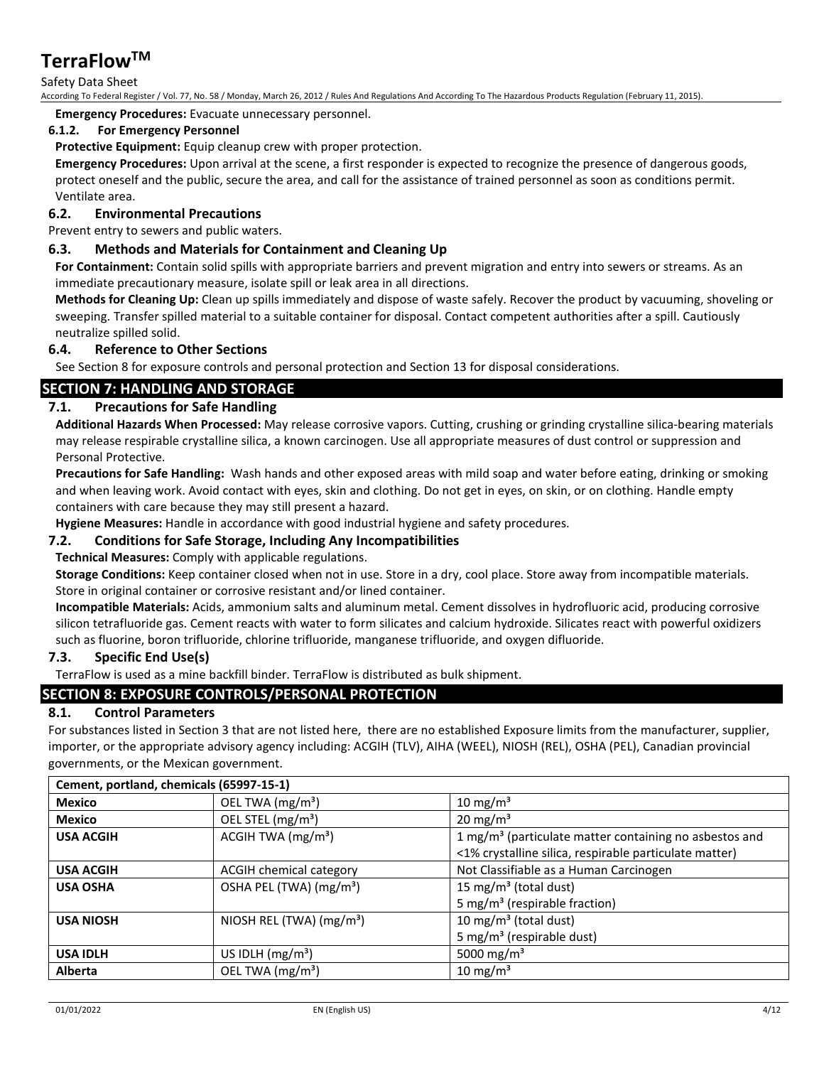Safety Data Sheet

According To Federal Register / Vol. 77, No. 58 / Monday, March 26, 2012 / Rules And Regulations And According To The Hazardous Products Regulation (February 11, 2015).

**Emergency Procedures:** Evacuate unnecessary personnel.

### **6.1.2. For Emergency Personnel**

**Protective Equipment:** Equip cleanup crew with proper protection.

**Emergency Procedures:** Upon arrival at the scene, a first responder is expected to recognize the presence of dangerous goods, protect oneself and the public, secure the area, and call for the assistance of trained personnel as soon as conditions permit. Ventilate area.

### **6.2. Environmental Precautions**

Prevent entry to sewers and public waters.

### **6.3. Methods and Materials for Containment and Cleaning Up**

**For Containment:** Contain solid spills with appropriate barriers and prevent migration and entry into sewers or streams. As an immediate precautionary measure, isolate spill or leak area in all directions.

**Methods for Cleaning Up:** Clean up spills immediately and dispose of waste safely. Recover the product by vacuuming, shoveling or sweeping. Transfer spilled material to a suitable container for disposal. Contact competent authorities after a spill. Cautiously neutralize spilled solid.

### **6.4. Reference to Other Sections**

See Section 8 for exposure controls and personal protection and Section 13 for disposal considerations.

## **SECTION 7: HANDLING AND STORAGE**

### **7.1. Precautions for Safe Handling**

**Additional Hazards When Processed:** May release corrosive vapors. Cutting, crushing or grinding crystalline silica-bearing materials may release respirable crystalline silica, a known carcinogen. Use all appropriate measures of dust control or suppression and Personal Protective.

**Precautions for Safe Handling:** Wash hands and other exposed areas with mild soap and water before eating, drinking or smoking and when leaving work. Avoid contact with eyes, skin and clothing. Do not get in eyes, on skin, or on clothing. Handle empty containers with care because they may still present a hazard.

**Hygiene Measures:** Handle in accordance with good industrial hygiene and safety procedures.

### **7.2. Conditions for Safe Storage, Including Any Incompatibilities**

**Technical Measures:** Comply with applicable regulations.

**Storage Conditions:** Keep container closed when not in use. Store in a dry, cool place. Store away from incompatible materials. Store in original container or corrosive resistant and/or lined container.

**Incompatible Materials:** Acids, ammonium salts and aluminum metal. Cement dissolves in hydrofluoric acid, producing corrosive silicon tetrafluoride gas. Cement reacts with water to form silicates and calcium hydroxide. Silicates react with powerful oxidizers such as fluorine, boron trifluoride, chlorine trifluoride, manganese trifluoride, and oxygen difluoride.

### **7.3. Specific End Use(s)**

TerraFlow is used as a mine backfill binder. TerraFlow is distributed as bulk shipment.

## **SECTION 8: EXPOSURE CONTROLS/PERSONAL PROTECTION**

### **8.1. Control Parameters**

For substances listed in Section 3 that are not listed here, there are no established Exposure limits from the manufacturer, supplier, importer, or the appropriate advisory agency including: ACGIH (TLV), AIHA (WEEL), NIOSH (REL), OSHA (PEL), Canadian provincial governments, or the Mexican government.

| Cement, portland, chemicals (65997-15-1) |                                     |                                                                    |  |  |
|------------------------------------------|-------------------------------------|--------------------------------------------------------------------|--|--|
| <b>Mexico</b>                            | OEL TWA (mg/m <sup>3</sup> )        | 10 mg/m $3$                                                        |  |  |
| <b>Mexico</b>                            | OEL STEL (mg/m <sup>3</sup> )       | $20 \text{ mg/m}^3$                                                |  |  |
| <b>USA ACGIH</b>                         | ACGIH TWA $(mg/m3)$                 | 1 mg/m <sup>3</sup> (particulate matter containing no asbestos and |  |  |
|                                          |                                     | <1% crystalline silica, respirable particulate matter)             |  |  |
| <b>USA ACGIH</b>                         | <b>ACGIH chemical category</b>      | Not Classifiable as a Human Carcinogen                             |  |  |
| <b>USA OSHA</b>                          | OSHA PEL (TWA) (mg/m <sup>3</sup> ) | 15 mg/m <sup>3</sup> (total dust)                                  |  |  |
|                                          |                                     | 5 mg/m <sup>3</sup> (respirable fraction)                          |  |  |
| <b>USA NIOSH</b>                         | NIOSH REL (TWA) $(mg/m3)$           | 10 mg/m <sup>3</sup> (total dust)                                  |  |  |
|                                          |                                     | 5 mg/m <sup>3</sup> (respirable dust)                              |  |  |
| <b>USA IDLH</b>                          | US IDLH $(mg/m3)$                   | 5000 mg/m <sup>3</sup>                                             |  |  |
| <b>Alberta</b>                           | OEL TWA (mg/m <sup>3</sup> )        | 10 mg/m <sup>3</sup>                                               |  |  |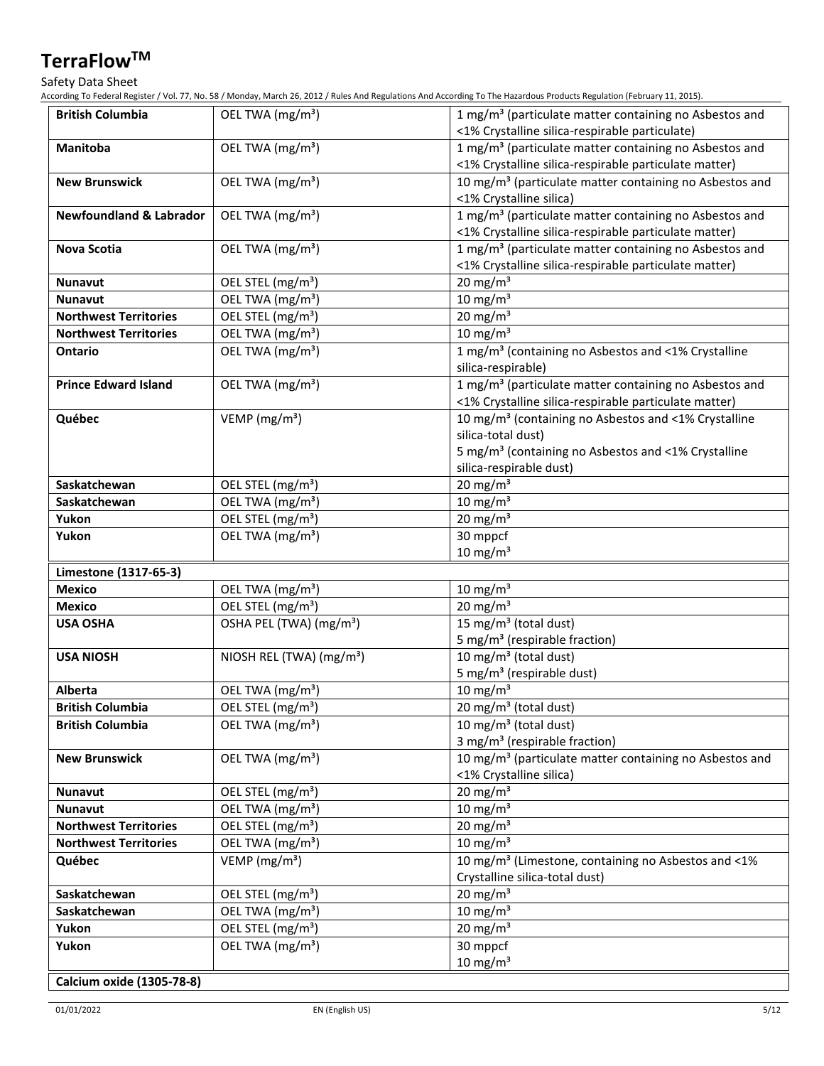Safety Data Sheet

According To Federal Register / Vol. 77, No. 58 / Monday, March 26, 2012 / Rules And Regulations And According To The Hazardous Products Regulation (February 11, 2015).

| <b>British Columbia</b>            | OEL TWA (mg/m <sup>3</sup> )         | 1 mg/m <sup>3</sup> (particulate matter containing no Asbestos and<br><1% Crystalline silica-respirable particulate)                                                                 |
|------------------------------------|--------------------------------------|--------------------------------------------------------------------------------------------------------------------------------------------------------------------------------------|
| Manitoba                           | OEL TWA (mg/m <sup>3</sup> )         | 1 mg/m <sup>3</sup> (particulate matter containing no Asbestos and<br><1% Crystalline silica-respirable particulate matter)                                                          |
| <b>New Brunswick</b>               | OEL TWA (mg/m <sup>3</sup> )         | 10 mg/m <sup>3</sup> (particulate matter containing no Asbestos and<br><1% Crystalline silica)                                                                                       |
| <b>Newfoundland &amp; Labrador</b> | OEL TWA (mg/m <sup>3</sup> )         | 1 mg/m <sup>3</sup> (particulate matter containing no Asbestos and<br><1% Crystalline silica-respirable particulate matter)                                                          |
| Nova Scotia                        | OEL TWA (mg/m <sup>3</sup> )         | 1 mg/m <sup>3</sup> (particulate matter containing no Asbestos and<br><1% Crystalline silica-respirable particulate matter)                                                          |
| <b>Nunavut</b>                     | OEL STEL (mg/m <sup>3</sup> )        | $20$ mg/m <sup>3</sup>                                                                                                                                                               |
| <b>Nunavut</b>                     | OEL TWA (mg/m <sup>3</sup> )         | $10 \text{ mg/m}^3$                                                                                                                                                                  |
| <b>Northwest Territories</b>       | OEL STEL (mg/m <sup>3</sup> )        | 20 mg/m $3$                                                                                                                                                                          |
| <b>Northwest Territories</b>       | OEL TWA (mg/m <sup>3</sup> )         | $10 \text{ mg/m}^3$                                                                                                                                                                  |
| <b>Ontario</b>                     | OEL TWA (mg/m <sup>3</sup> )         | 1 mg/m <sup>3</sup> (containing no Asbestos and <1% Crystalline<br>silica-respirable)                                                                                                |
| <b>Prince Edward Island</b>        | OEL TWA (mg/m <sup>3</sup> )         | 1 mg/m <sup>3</sup> (particulate matter containing no Asbestos and<br><1% Crystalline silica-respirable particulate matter)                                                          |
| Québec                             | VEMP ( $mg/m3$ )                     | 10 mg/m <sup>3</sup> (containing no Asbestos and <1% Crystalline<br>silica-total dust)<br>5 mg/m <sup>3</sup> (containing no Asbestos and <1% Crystalline<br>silica-respirable dust) |
| Saskatchewan                       | OEL STEL (mg/m <sup>3</sup> )        | 20 mg/m $3$                                                                                                                                                                          |
| Saskatchewan                       | OEL TWA (mg/m <sup>3</sup> )         | $10 \text{ mg/m}^3$                                                                                                                                                                  |
| Yukon                              | OEL STEL (mg/m <sup>3</sup> )        | 20 mg/m $3$                                                                                                                                                                          |
| Yukon                              | OEL TWA (mg/m <sup>3</sup> )         | 30 mppcf<br>$10 \text{ mg/m}^3$                                                                                                                                                      |
| Limestone (1317-65-3)              |                                      |                                                                                                                                                                                      |
| <b>Mexico</b>                      | OEL TWA (mg/m <sup>3</sup> )         | $10 \text{ mg/m}^3$                                                                                                                                                                  |
| Mexico                             | OEL STEL (mg/m <sup>3</sup> )        | $20 \text{ mg/m}^3$                                                                                                                                                                  |
| <b>USA OSHA</b>                    | OSHA PEL (TWA) (mg/m <sup>3</sup> )  | 15 mg/m <sup>3</sup> (total dust)<br>5 mg/m <sup>3</sup> (respirable fraction)                                                                                                       |
| <b>USA NIOSH</b>                   | NIOSH REL (TWA) (mg/m <sup>3</sup> ) | 10 mg/m <sup>3</sup> (total dust)<br>5 mg/m <sup>3</sup> (respirable dust)                                                                                                           |
| <b>Alberta</b>                     | OEL TWA (mg/m <sup>3</sup> )         | $10 \text{ mg/m}^3$                                                                                                                                                                  |
| <b>British Columbia</b>            | OEL STEL (mg/m <sup>3</sup> )        | 20 mg/m <sup>3</sup> (total dust)                                                                                                                                                    |
| <b>British Columbia</b>            | OEL TWA (mg/m <sup>3</sup> )         | 10 mg/m <sup>3</sup> (total dust)<br>3 mg/m <sup>3</sup> (respirable fraction)                                                                                                       |
| <b>New Brunswick</b>               | OEL TWA (mg/m <sup>3</sup> )         | 10 mg/m <sup>3</sup> (particulate matter containing no Asbestos and<br><1% Crystalline silica)                                                                                       |
| <b>Nunavut</b>                     | OEL STEL (mg/m <sup>3</sup> )        | 20 mg/m $3$                                                                                                                                                                          |
| <b>Nunavut</b>                     | OEL TWA (mg/m <sup>3</sup> )         | $10 \text{ mg/m}^3$                                                                                                                                                                  |
| <b>Northwest Territories</b>       | OEL STEL (mg/m <sup>3</sup> )        | 20 mg/m $3$                                                                                                                                                                          |
| <b>Northwest Territories</b>       | OEL TWA (mg/m <sup>3</sup> )         | $10 \text{ mg/m}^3$                                                                                                                                                                  |
| Québec                             | VEMP ( $mg/m3$ )                     | 10 mg/m <sup>3</sup> (Limestone, containing no Asbestos and <1%<br>Crystalline silica-total dust)                                                                                    |
| Saskatchewan                       | OEL STEL (mg/m <sup>3</sup> )        | $20 \text{ mg/m}^3$                                                                                                                                                                  |
| Saskatchewan                       | OEL TWA (mg/m <sup>3</sup> )         | 10 mg/m $3$                                                                                                                                                                          |
| Yukon                              | OEL STEL (mg/m <sup>3</sup> )        | 20 mg/m $3$                                                                                                                                                                          |
| Yukon                              | OEL TWA (mg/m <sup>3</sup> )         | 30 mppcf<br>$10 \text{ mg/m}^3$                                                                                                                                                      |
| Calcium oxide (1305-78-8)          |                                      |                                                                                                                                                                                      |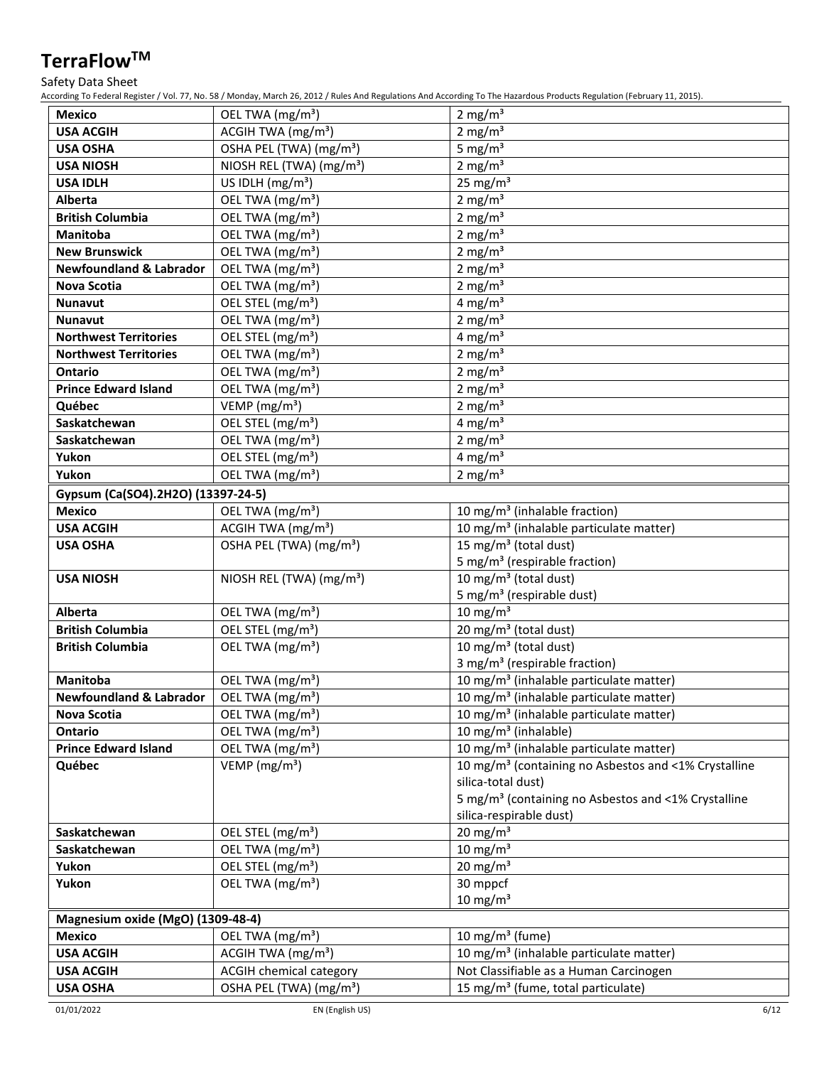### Safety Data Sheet

According To Federal Register / Vol. 77, No. 58 / Monday, March 26, 2012 / Rules And Regulations And According To The Hazardous Products Regulation (February 11, 2015).

| <b>Mexico</b>                      | OEL TWA (mg/m <sup>3</sup> )         | 2 mg/ $m3$                                                       |  |
|------------------------------------|--------------------------------------|------------------------------------------------------------------|--|
| <b>USA ACGIH</b>                   | ACGIH TWA (mg/m <sup>3</sup> )       | 2 mg/ $m3$                                                       |  |
| <b>USA OSHA</b>                    | OSHA PEL (TWA) (mg/m <sup>3</sup> )  | 5 mg/ $m3$                                                       |  |
| <b>USA NIOSH</b>                   | NIOSH REL (TWA) (mg/m <sup>3</sup> ) | 2 mg/m $3$                                                       |  |
| <b>USA IDLH</b>                    | US IDLH $(mg/m3)$                    | 25 mg/ $m3$                                                      |  |
| <b>Alberta</b>                     | OEL TWA (mg/m <sup>3</sup> )         | 2 mg/m <sup>3</sup>                                              |  |
| <b>British Columbia</b>            | OEL TWA (mg/m <sup>3</sup> )         | 2 mg/ $m3$                                                       |  |
| Manitoba                           | OEL TWA (mg/m <sup>3</sup> )         | 2 mg/m $3$                                                       |  |
| <b>New Brunswick</b>               | OEL TWA (mg/m <sup>3</sup> )         | 2 mg/ $m3$                                                       |  |
| <b>Newfoundland &amp; Labrador</b> | OEL TWA (mg/m <sup>3</sup> )         | 2 mg/ $m3$                                                       |  |
| <b>Nova Scotia</b>                 | OEL TWA (mg/m <sup>3</sup> )         | 2 mg/ $m3$                                                       |  |
| <b>Nunavut</b>                     | OEL STEL (mg/m <sup>3</sup> )        | 4 mg/m $3$                                                       |  |
| <b>Nunavut</b>                     | OEL TWA (mg/m <sup>3</sup> )         | 2 mg/ $m3$                                                       |  |
| <b>Northwest Territories</b>       | OEL STEL (mg/m <sup>3</sup> )        | 4 mg/m $3$                                                       |  |
| <b>Northwest Territories</b>       | OEL TWA (mg/m <sup>3</sup> )         | 2 mg/ $m3$                                                       |  |
| Ontario                            | OEL TWA (mg/m <sup>3</sup> )         | 2 mg/ $m3$                                                       |  |
| <b>Prince Edward Island</b>        | OEL TWA (mg/m <sup>3</sup> )         | 2 mg/ $m3$                                                       |  |
| Québec                             | VEMP (mg/m <sup>3</sup> )            | 2 mg/ $m3$                                                       |  |
| Saskatchewan                       | OEL STEL (mg/m <sup>3</sup> )        | 4 mg/m $3$                                                       |  |
| Saskatchewan                       | OEL TWA (mg/m <sup>3</sup> )         | 2 mg/ $m3$                                                       |  |
| Yukon                              | OEL STEL (mg/m <sup>3</sup> )        | 4 mg/m <sup>3</sup>                                              |  |
| Yukon                              | OEL TWA (mg/m <sup>3</sup> )         | $2 \text{ mg/m}^3$                                               |  |
| Gypsum (Ca(SO4).2H2O) (13397-24-5) |                                      |                                                                  |  |
| <b>Mexico</b>                      | OEL TWA (mg/m <sup>3</sup> )         | 10 mg/m <sup>3</sup> (inhalable fraction)                        |  |
| <b>USA ACGIH</b>                   | ACGIH TWA (mg/m <sup>3</sup> )       | 10 mg/m <sup>3</sup> (inhalable particulate matter)              |  |
| <b>USA OSHA</b>                    | OSHA PEL (TWA) (mg/m <sup>3</sup> )  | 15 mg/m <sup>3</sup> (total dust)                                |  |
|                                    |                                      | 5 mg/m <sup>3</sup> (respirable fraction)                        |  |
| <b>USA NIOSH</b>                   | NIOSH REL (TWA) (mg/m <sup>3</sup> ) | 10 mg/m $3$ (total dust)                                         |  |
|                                    |                                      | 5 mg/m <sup>3</sup> (respirable dust)                            |  |
| <b>Alberta</b>                     | OEL TWA (mg/m <sup>3</sup> )         | $10 \text{ mg/m}^3$                                              |  |
| <b>British Columbia</b>            | OEL STEL (mg/m <sup>3</sup> )        | $\overline{20}$ mg/m <sup>3</sup> (total dust)                   |  |
| <b>British Columbia</b>            | OEL TWA (mg/m <sup>3</sup> )         | 10 mg/m $3$ (total dust)                                         |  |
|                                    |                                      | 3 mg/m <sup>3</sup> (respirable fraction)                        |  |
| Manitoba                           | OEL TWA (mg/m <sup>3</sup> )         | 10 mg/m <sup>3</sup> (inhalable particulate matter)              |  |
| <b>Newfoundland &amp; Labrador</b> | OEL TWA (mg/m <sup>3</sup> )         | 10 mg/m <sup>3</sup> (inhalable particulate matter)              |  |
| <b>Nova Scotia</b>                 | OEL TWA (mg/m <sup>3</sup> )         | 10 mg/m <sup>3</sup> (inhalable particulate matter)              |  |
| <b>Ontario</b>                     | OEL TWA (mg/m <sup>3</sup> )         | 10 mg/m <sup>3</sup> (inhalable)                                 |  |
| <b>Prince Edward Island</b>        | OEL TWA (mg/m <sup>3</sup> )         | 10 mg/m <sup>3</sup> (inhalable particulate matter)              |  |
| Québec                             | VEMP ( $mg/m3$ )                     | 10 mg/m <sup>3</sup> (containing no Asbestos and <1% Crystalline |  |
|                                    |                                      | silica-total dust)                                               |  |
|                                    |                                      | 5 mg/m <sup>3</sup> (containing no Asbestos and <1% Crystalline  |  |
|                                    |                                      | silica-respirable dust)                                          |  |
| Saskatchewan                       | OEL STEL (mg/m <sup>3</sup> )        | $20 \text{ mg/m}^3$                                              |  |
| Saskatchewan                       | OEL TWA (mg/m <sup>3</sup> )         | $10 \text{ mg/m}^3$                                              |  |
| Yukon                              | OEL STEL (mg/m <sup>3</sup> )        | $20 \text{ mg/m}^3$                                              |  |
| Yukon                              | OEL TWA (mg/m <sup>3</sup> )         | $30$ mppcf                                                       |  |
|                                    |                                      | $10 \text{ mg/m}^3$                                              |  |
|                                    |                                      |                                                                  |  |
| Magnesium oxide (MgO) (1309-48-4)  |                                      |                                                                  |  |
| <b>Mexico</b>                      | OEL TWA (mg/m <sup>3</sup> )         | 10 mg/m <sup>3</sup> (fume)                                      |  |
| <b>USA ACGIH</b>                   | ACGIH TWA $(mg/m3)$                  | 10 mg/m <sup>3</sup> (inhalable particulate matter)              |  |
| <b>USA ACGIH</b>                   | ACGIH chemical category              | Not Classifiable as a Human Carcinogen                           |  |
| <b>USA OSHA</b>                    | OSHA PEL (TWA) (mg/m <sup>3</sup> )  | 15 mg/m <sup>3</sup> (fume, total particulate)                   |  |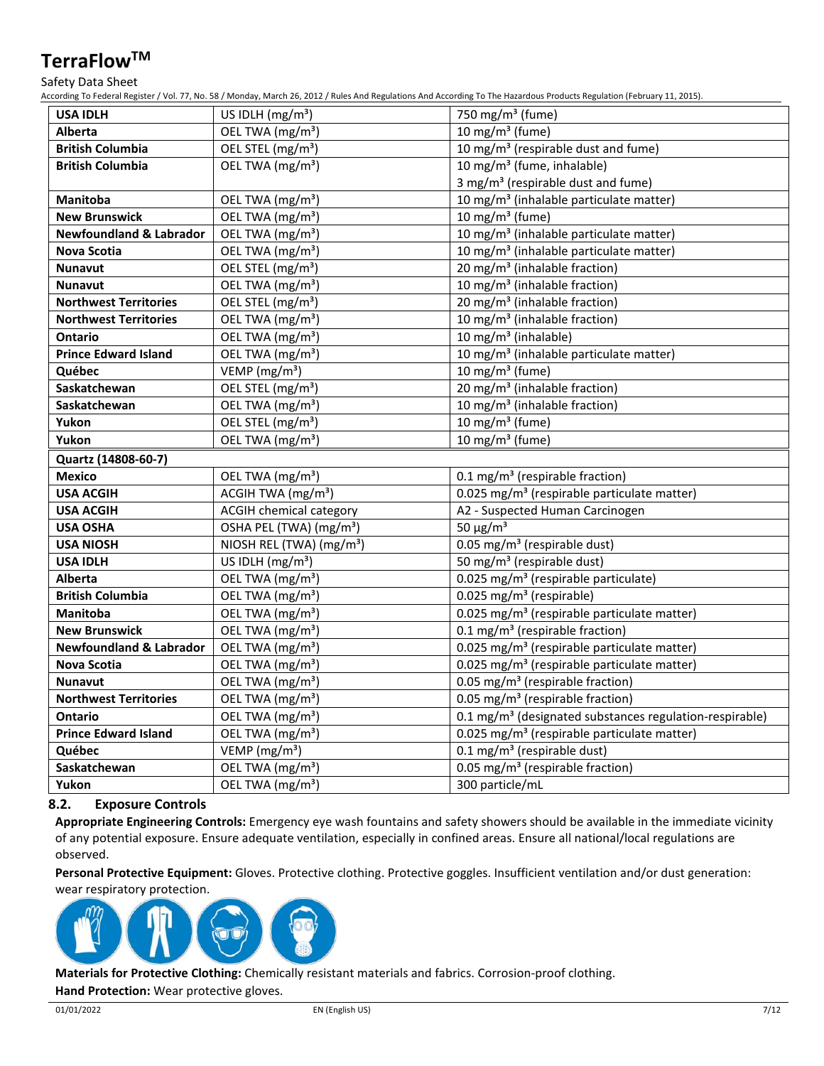### Safety Data Sheet

According To Federal Register / Vol. 77, No. 58 / Monday, March 26, 2012 / Rules And Regulations And According To The Hazardous Products Regulation (February 11, 2015).

|                                    | ang to reactar hegister / 1 cm 77, horse / monday, march 20, 2012 / hards ring hegalations rin |                                                                     |
|------------------------------------|------------------------------------------------------------------------------------------------|---------------------------------------------------------------------|
| <b>USA IDLH</b>                    | US IDLH $(mg/m3)$                                                                              | 750 mg/m <sup>3</sup> (fume)                                        |
| <b>Alberta</b>                     | OEL TWA (mg/m <sup>3</sup> )                                                                   | 10 mg/m <sup>3</sup> (fume)                                         |
| <b>British Columbia</b>            | OEL STEL (mg/m <sup>3</sup> )                                                                  | 10 mg/m <sup>3</sup> (respirable dust and fume)                     |
| <b>British Columbia</b>            | OEL TWA (mg/m <sup>3</sup> )                                                                   | 10 mg/m <sup>3</sup> (fume, inhalable)                              |
|                                    |                                                                                                | 3 mg/m <sup>3</sup> (respirable dust and fume)                      |
| Manitoba                           | OEL TWA (mg/m <sup>3</sup> )                                                                   | 10 mg/m <sup>3</sup> (inhalable particulate matter)                 |
| <b>New Brunswick</b>               | OEL TWA (mg/m <sup>3</sup> )                                                                   | 10 mg/m $3$ (fume)                                                  |
| <b>Newfoundland &amp; Labrador</b> | OEL TWA (mg/m <sup>3</sup> )                                                                   | 10 mg/m <sup>3</sup> (inhalable particulate matter)                 |
| Nova Scotia                        | OEL TWA (mg/m <sup>3</sup> )                                                                   | 10 mg/m <sup>3</sup> (inhalable particulate matter)                 |
| Nunavut                            | OEL STEL (mg/m <sup>3</sup> )                                                                  | 20 mg/m <sup>3</sup> (inhalable fraction)                           |
| <b>Nunavut</b>                     | OEL TWA (mg/m <sup>3</sup> )                                                                   | 10 mg/m <sup>3</sup> (inhalable fraction)                           |
| <b>Northwest Territories</b>       | OEL STEL (mg/m <sup>3</sup> )                                                                  | 20 mg/m <sup>3</sup> (inhalable fraction)                           |
| <b>Northwest Territories</b>       | OEL TWA (mg/m <sup>3</sup> )                                                                   | 10 mg/m <sup>3</sup> (inhalable fraction)                           |
| <b>Ontario</b>                     | OEL TWA (mg/m <sup>3</sup> )                                                                   | 10 mg/m <sup>3</sup> (inhalable)                                    |
| <b>Prince Edward Island</b>        | OEL TWA (mg/m <sup>3</sup> )                                                                   | 10 mg/m <sup>3</sup> (inhalable particulate matter)                 |
| Québec                             | VEMP ( $mg/m3$ )                                                                               | 10 mg/m $3$ (fume)                                                  |
| Saskatchewan                       | OEL STEL (mg/m <sup>3</sup> )                                                                  | 20 mg/m <sup>3</sup> (inhalable fraction)                           |
| Saskatchewan                       | OEL TWA (mg/m <sup>3</sup> )                                                                   | 10 mg/m <sup>3</sup> (inhalable fraction)                           |
| Yukon                              | OEL STEL (mg/m <sup>3</sup> )                                                                  | 10 mg/m $3$ (fume)                                                  |
| Yukon                              | OEL TWA (mg/m <sup>3</sup> )                                                                   | 10 mg/m <sup>3</sup> (fume)                                         |
| Quartz (14808-60-7)                |                                                                                                |                                                                     |
| <b>Mexico</b>                      | OEL TWA (mg/m <sup>3</sup> )                                                                   | 0.1 mg/m <sup>3</sup> (respirable fraction)                         |
| <b>USA ACGIH</b>                   | ACGIH TWA (mg/m <sup>3</sup> )                                                                 | 0.025 mg/m <sup>3</sup> (respirable particulate matter)             |
| <b>USA ACGIH</b>                   | <b>ACGIH chemical category</b>                                                                 | A2 - Suspected Human Carcinogen                                     |
| <b>USA OSHA</b>                    | OSHA PEL (TWA) (mg/m <sup>3</sup> )                                                            | 50 $\mu$ g/m <sup>3</sup>                                           |
| <b>USA NIOSH</b>                   | NIOSH REL (TWA) (mg/m <sup>3</sup> )                                                           | 0.05 mg/m <sup>3</sup> (respirable dust)                            |
| <b>USA IDLH</b>                    | US IDLH (mg/m <sup>3</sup> )                                                                   | 50 mg/m <sup>3</sup> (respirable dust)                              |
| Alberta                            | OEL TWA (mg/m <sup>3</sup> )                                                                   | 0.025 mg/m <sup>3</sup> (respirable particulate)                    |
| <b>British Columbia</b>            | OEL TWA (mg/m <sup>3</sup> )                                                                   | 0.025 mg/m <sup>3</sup> (respirable)                                |
| Manitoba                           | OEL TWA (mg/m <sup>3</sup> )                                                                   | 0.025 mg/m <sup>3</sup> (respirable particulate matter)             |
| <b>New Brunswick</b>               | OEL TWA (mg/m <sup>3</sup> )                                                                   | 0.1 mg/m <sup>3</sup> (respirable fraction)                         |
| <b>Newfoundland &amp; Labrador</b> | OEL TWA (mg/m <sup>3</sup> )                                                                   | 0.025 mg/m <sup>3</sup> (respirable particulate matter)             |
| <b>Nova Scotia</b>                 | OEL TWA (mg/m <sup>3</sup> )                                                                   | 0.025 mg/m <sup>3</sup> (respirable particulate matter)             |
| <b>Nunavut</b>                     | OEL TWA (mg/m <sup>3</sup> )                                                                   | 0.05 mg/m <sup>3</sup> (respirable fraction)                        |
| <b>Northwest Territories</b>       | OEL TWA (mg/m <sup>3</sup> )                                                                   | 0.05 mg/m <sup>3</sup> (respirable fraction)                        |
| <b>Ontario</b>                     | OEL TWA (mg/m <sup>3</sup> )                                                                   | 0.1 mg/m <sup>3</sup> (designated substances regulation-respirable) |
| <b>Prince Edward Island</b>        | OEL TWA (mg/m <sup>3</sup> )                                                                   | 0.025 mg/m <sup>3</sup> (respirable particulate matter)             |
| Québec                             | VEMP ( $mg/m3$ )                                                                               | $0.1 \text{ mg/m}^3$ (respirable dust)                              |
| Saskatchewan                       | OEL TWA (mg/m <sup>3</sup> )                                                                   | 0.05 mg/m <sup>3</sup> (respirable fraction)                        |
| Yukon                              | OEL TWA (mg/m <sup>3</sup> )                                                                   | 300 particle/mL                                                     |

## **8.2. Exposure Controls**

**Appropriate Engineering Controls:** Emergency eye wash fountains and safety showers should be available in the immediate vicinity of any potential exposure. Ensure adequate ventilation, especially in confined areas. Ensure all national/local regulations are observed.

**Personal Protective Equipment:** Gloves. Protective clothing. Protective goggles. Insufficient ventilation and/or dust generation: wear respiratory protection.



**Materials for Protective Clothing:** Chemically resistant materials and fabrics. Corrosion-proof clothing.

**Hand Protection:** Wear protective gloves.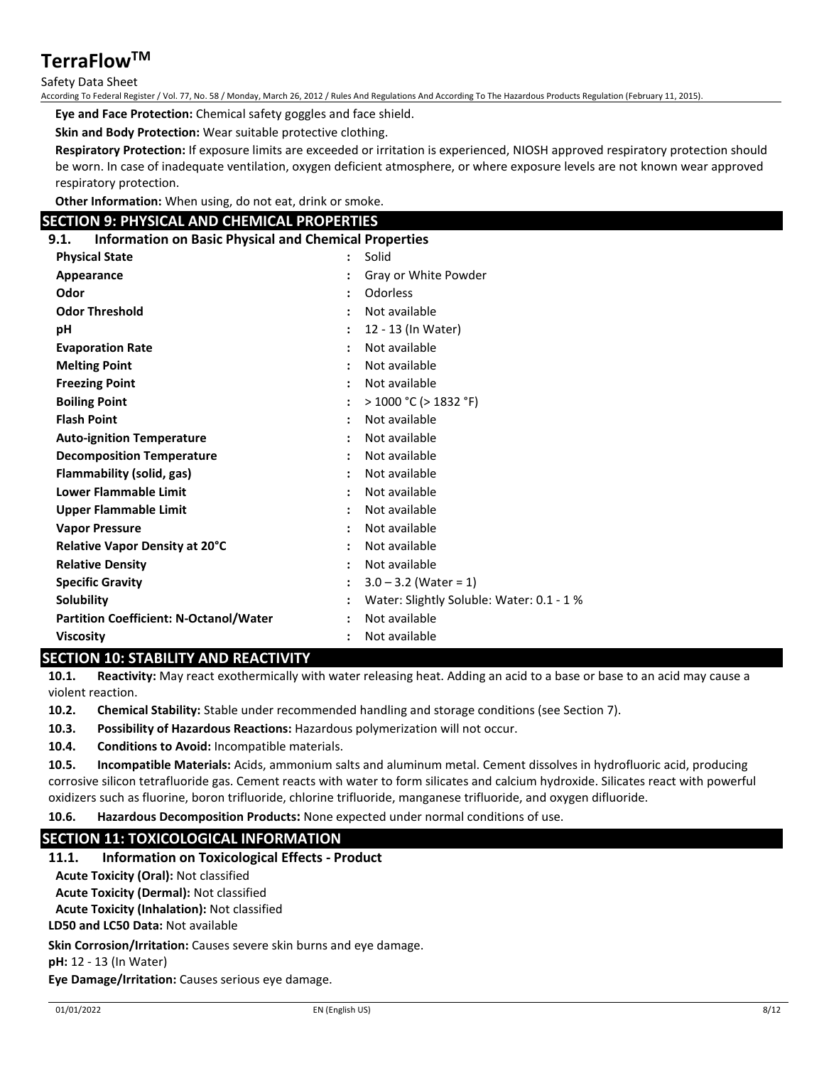### Safety Data Sheet

According To Federal Register / Vol. 77, No. 58 / Monday, March 26, 2012 / Rules And Regulations And According To The Hazardous Products Regulation (February 11, 2015).

**Eye and Face Protection:** Chemical safety goggles and face shield.

**Skin and Body Protection:** Wear suitable protective clothing.

**Respiratory Protection:** If exposure limits are exceeded or irritation is experienced, NIOSH approved respiratory protection should be worn. In case of inadequate ventilation, oxygen deficient atmosphere, or where exposure levels are not known wear approved respiratory protection.

**Other Information:** When using, do not eat, drink or smoke.

### **SECTION 9: PHYSICAL AND CHEMICAL PROPERTIES**

**9.1. Information on Basic Physical and Chemical Properties**

| <b>Physical State</b>                         | $\ddot{\phantom{0}}$ | Solid                                     |
|-----------------------------------------------|----------------------|-------------------------------------------|
| Appearance                                    |                      | Gray or White Powder                      |
| Odor                                          |                      | Odorless                                  |
| <b>Odor Threshold</b>                         |                      | Not available                             |
| рH                                            |                      | 12 - 13 (In Water)                        |
| <b>Evaporation Rate</b>                       |                      | Not available                             |
| <b>Melting Point</b>                          |                      | Not available                             |
| <b>Freezing Point</b>                         | $\ddot{\phantom{a}}$ | Not available                             |
| <b>Boiling Point</b>                          |                      | $>$ 1000 °C ( $>$ 1832 °F)                |
| <b>Flash Point</b>                            |                      | Not available                             |
| <b>Auto-ignition Temperature</b>              |                      | Not available                             |
| <b>Decomposition Temperature</b>              | $\ddot{\phantom{a}}$ | Not available                             |
| Flammability (solid, gas)                     |                      | Not available                             |
| <b>Lower Flammable Limit</b>                  |                      | Not available                             |
| <b>Upper Flammable Limit</b>                  | :                    | Not available                             |
| <b>Vapor Pressure</b>                         |                      | Not available                             |
| Relative Vapor Density at 20°C                |                      | Not available                             |
| <b>Relative Density</b>                       | $\ddot{\cdot}$       | Not available                             |
| <b>Specific Gravity</b>                       |                      | $3.0 - 3.2$ (Water = 1)                   |
| Solubility                                    |                      | Water: Slightly Soluble: Water: 0.1 - 1 % |
| <b>Partition Coefficient: N-Octanol/Water</b> |                      | Not available                             |
| <b>Viscosity</b><br>---------                 |                      | Not available                             |

### **SECTION 10: STABILITY AND REACTIVITY**

**10.1. Reactivity:** May react exothermically with water releasing heat. Adding an acid to a base or base to an acid may cause a violent reaction.

**10.2. Chemical Stability:** Stable under recommended handling and storage conditions (see Section 7).

**10.3. Possibility of Hazardous Reactions:** Hazardous polymerization will not occur.

**10.4. Conditions to Avoid:** Incompatible materials.

**10.5. Incompatible Materials:** Acids, ammonium salts and aluminum metal. Cement dissolves in hydrofluoric acid, producing corrosive silicon tetrafluoride gas. Cement reacts with water to form silicates and calcium hydroxide. Silicates react with powerful oxidizers such as fluorine, boron trifluoride, chlorine trifluoride, manganese trifluoride, and oxygen difluoride.

**10.6. Hazardous Decomposition Products:** None expected under normal conditions of use.

## **SECTION 11: TOXICOLOGICAL INFORMATION**

#### **11.1. Information on Toxicological Effects - Product**

**Acute Toxicity (Oral):** Not classified

**Acute Toxicity (Dermal):** Not classified

**Acute Toxicity (Inhalation):** Not classified

**LD50 and LC50 Data:** Not available

**Skin Corrosion/Irritation:** Causes severe skin burns and eye damage.

**pH:** 12 - 13 (In Water)

**Eye Damage/Irritation:** Causes serious eye damage.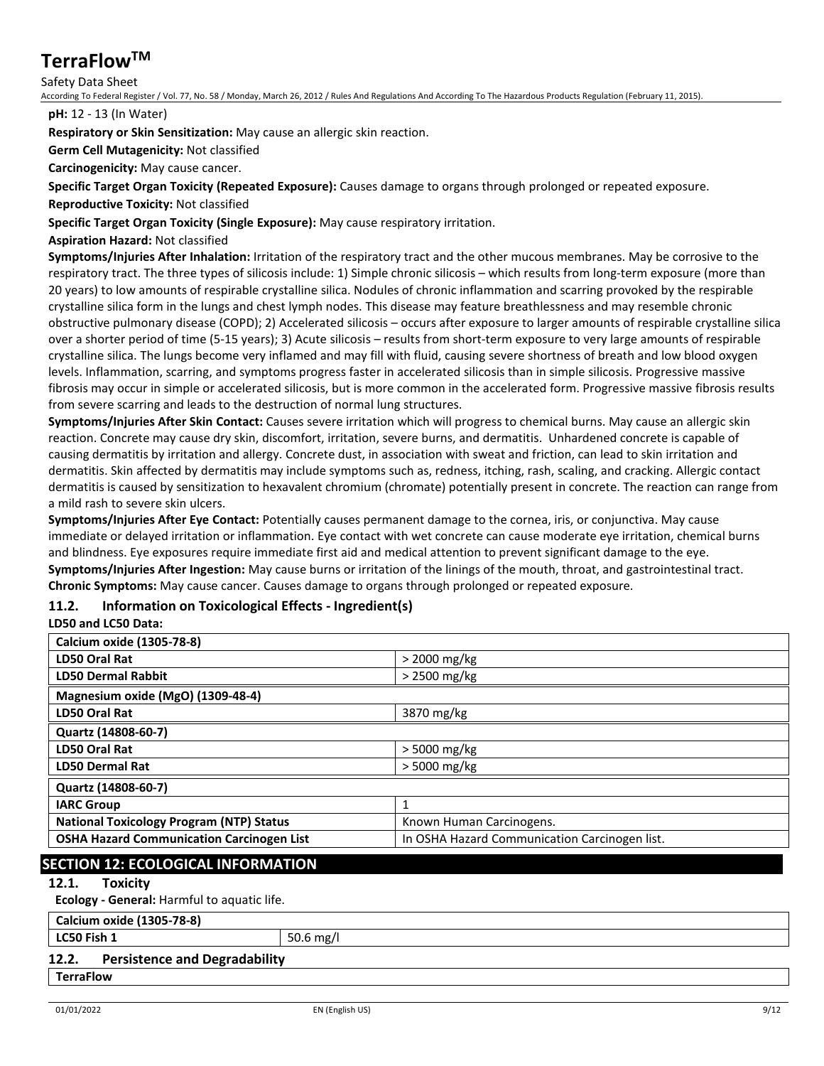### Safety Data Sheet

According To Federal Register / Vol. 77, No. 58 / Monday, March 26, 2012 / Rules And Regulations And According To The Hazardous Products Regulation (February 11, 2015).

#### **pH:** 12 - 13 (In Water)

**Respiratory or Skin Sensitization:** May cause an allergic skin reaction.

**Germ Cell Mutagenicity:** Not classified

**Carcinogenicity:** May cause cancer.

**Specific Target Organ Toxicity (Repeated Exposure):** Causes damage to organs through prolonged or repeated exposure.

**Reproductive Toxicity:** Not classified

**Specific Target Organ Toxicity (Single Exposure):** May cause respiratory irritation.

### **Aspiration Hazard:** Not classified

**Symptoms/Injuries After Inhalation:** Irritation of the respiratory tract and the other mucous membranes. May be corrosive to the respiratory tract. The three types of silicosis include: 1) Simple chronic silicosis – which results from long-term exposure (more than 20 years) to low amounts of respirable crystalline silica. Nodules of chronic inflammation and scarring provoked by the respirable crystalline silica form in the lungs and chest lymph nodes. This disease may feature breathlessness and may resemble chronic obstructive pulmonary disease (COPD); 2) Accelerated silicosis – occurs after exposure to larger amounts of respirable crystalline silica over a shorter period of time (5-15 years); 3) Acute silicosis – results from short-term exposure to very large amounts of respirable crystalline silica. The lungs become very inflamed and may fill with fluid, causing severe shortness of breath and low blood oxygen levels. Inflammation, scarring, and symptoms progress faster in accelerated silicosis than in simple silicosis. Progressive massive fibrosis may occur in simple or accelerated silicosis, but is more common in the accelerated form. Progressive massive fibrosis results from severe scarring and leads to the destruction of normal lung structures.

**Symptoms/Injuries After Skin Contact:** Causes severe irritation which will progress to chemical burns. May cause an allergic skin reaction. Concrete may cause dry skin, discomfort, irritation, severe burns, and dermatitis. Unhardened concrete is capable of causing dermatitis by irritation and allergy. Concrete dust, in association with sweat and friction, can lead to skin irritation and dermatitis. Skin affected by dermatitis may include symptoms such as, redness, itching, rash, scaling, and cracking. Allergic contact dermatitis is caused by sensitization to hexavalent chromium (chromate) potentially present in concrete. The reaction can range from a mild rash to severe skin ulcers.

**Symptoms/Injuries After Eye Contact:** Potentially causes permanent damage to the cornea, iris, or conjunctiva. May cause immediate or delayed irritation or inflammation. Eye contact with wet concrete can cause moderate eye irritation, chemical burns and blindness. Eye exposures require immediate first aid and medical attention to prevent significant damage to the eye. **Symptoms/Injuries After Ingestion:** May cause burns or irritation of the linings of the mouth, throat, and gastrointestinal tract. **Chronic Symptoms:** May cause cancer. Causes damage to organs through prolonged or repeated exposure.

## **11.2. Information on Toxicological Effects - Ingredient(s)**

#### **LD50 and LC50 Data:**

| Calcium oxide (1305-78-8)                        |                                               |
|--------------------------------------------------|-----------------------------------------------|
| <b>LD50 Oral Rat</b>                             | $>$ 2000 mg/kg                                |
| <b>LD50 Dermal Rabbit</b>                        | $>$ 2500 mg/kg                                |
| Magnesium oxide (MgO) (1309-48-4)                |                                               |
| LD50 Oral Rat                                    | 3870 mg/kg                                    |
| Quartz (14808-60-7)                              |                                               |
| LD50 Oral Rat                                    | $>$ 5000 mg/kg                                |
| <b>LD50 Dermal Rat</b>                           | > 5000 mg/kg                                  |
| Quartz (14808-60-7)                              |                                               |
| <b>IARC Group</b>                                | 1                                             |
| <b>National Toxicology Program (NTP) Status</b>  | Known Human Carcinogens.                      |
| <b>OSHA Hazard Communication Carcinogen List</b> | In OSHA Hazard Communication Carcinogen list. |

## **SECTION 12: ECOLOGICAL INFORMATION**

### **12.1. Toxicity**

**Ecology - General:** Harmful to aquatic life.

## **Calcium oxide (1305-78-8)**

**LC50 Fish 1** 50.6 mg/l

### **12.2. Persistence and Degradability**

## **TerraFlow**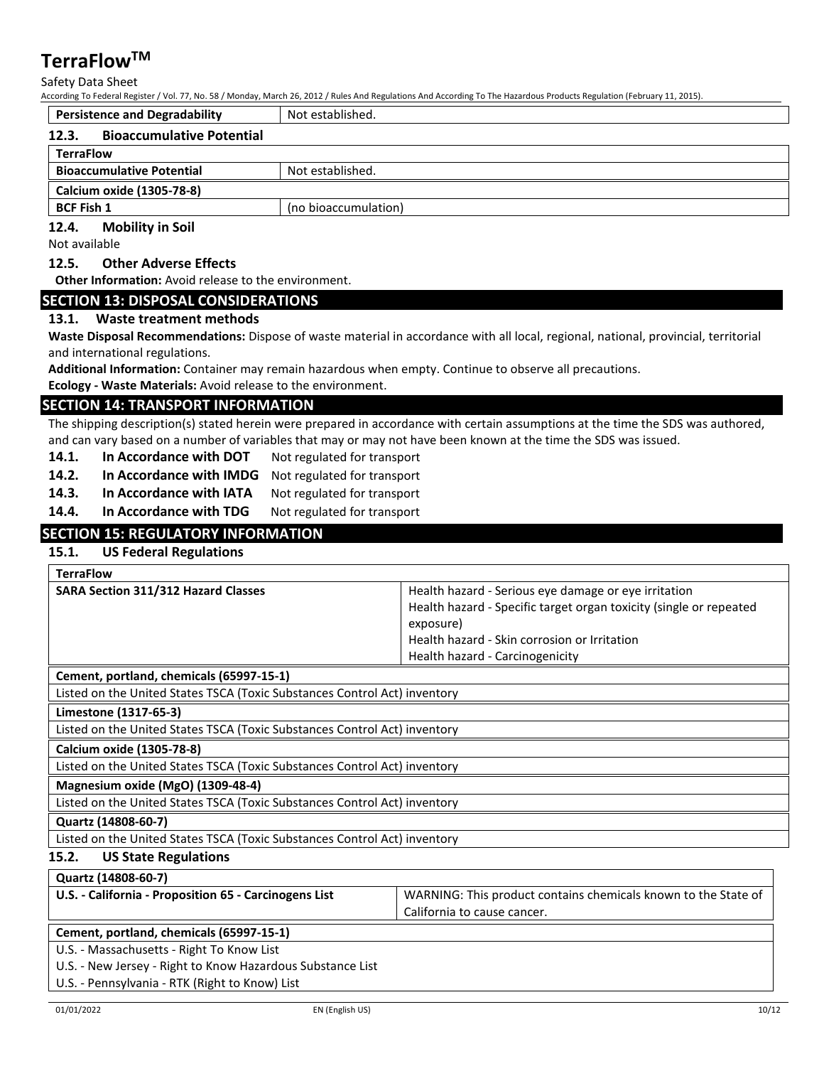Safety Data Sheet

According To Federal Register / Vol. 77, No. 58 / Monday, March 26, 2012 / Rules And Regulations And According To The Hazardous Products Regulation (February 11, 2015).

| <b>Persistence and Degradability</b>      | Not established.     |
|-------------------------------------------|----------------------|
| <b>Bioaccumulative Potential</b><br>12.3. |                      |
| <b>TerraFlow</b>                          |                      |
| <b>Bioaccumulative Potential</b>          | Not established.     |
| Calcium oxide (1305-78-8)                 |                      |
| <b>BCF Fish 1</b>                         | (no bioaccumulation) |

**12.4. Mobility in Soil**

Not available

**12.5. Other Adverse Effects**

**Other Information:** Avoid release to the environment.

### **SECTION 13: DISPOSAL CONSIDERATIONS**

### **13.1. Waste treatment methods**

**Waste Disposal Recommendations:** Dispose of waste material in accordance with all local, regional, national, provincial, territorial and international regulations.

**Additional Information:** Container may remain hazardous when empty. Continue to observe all precautions.

**Ecology - Waste Materials:** Avoid release to the environment.

### **SECTION 14: TRANSPORT INFORMATION**

The shipping description(s) stated herein were prepared in accordance with certain assumptions at the time the SDS was authored, and can vary based on a number of variables that may or may not have been known at the time the SDS was issued.

- 14.1. **In Accordance with DOT** Not regulated for transport
- **14.2. In Accordance with IMDG** Not regulated for transport
- 14.3. In Accordance with IATA Not regulated for transport
- **14.4.** In Accordance with TDG Not regulated for transport

### **SECTION 15: REGULATORY INFORMATION**

### **15.1. US Federal Regulations**

| <b>TerraFlow</b>                           |                                                                    |
|--------------------------------------------|--------------------------------------------------------------------|
| <b>SARA Section 311/312 Hazard Classes</b> | Health hazard - Serious eve damage or eve irritation               |
|                                            | Health hazard - Specific target organ toxicity (single or repeated |
|                                            | exposure)                                                          |
|                                            | Health hazard - Skin corrosion or Irritation                       |
|                                            | Health hazard - Carcinogenicity                                    |
|                                            |                                                                    |

#### **Cement, portland, chemicals (65997-15-1)**

Listed on the United States TSCA (Toxic Substances Control Act) inventory

### **Limestone (1317-65-3)**

Listed on the United States TSCA (Toxic Substances Control Act) inventory

**Calcium oxide (1305-78-8)**

Listed on the United States TSCA (Toxic Substances Control Act) inventory

#### **Magnesium oxide (MgO) (1309-48-4)**

Listed on the United States TSCA (Toxic Substances Control Act) inventory

**Quartz (14808-60-7)**

Listed on the United States TSCA (Toxic Substances Control Act) inventory

### **15.2. US State Regulations**

**Quartz (14808-60-7)**

| U.S. - California - Proposition 65 - Carcinogens List | WARNING: This product contains chemicals known to the State of |
|-------------------------------------------------------|----------------------------------------------------------------|
|                                                       | California to cause cancer.                                    |

**Cement, portland, chemicals (65997-15-1)**

U.S. - Massachusetts - Right To Know List

U.S. - New Jersey - Right to Know Hazardous Substance List

U.S. - Pennsylvania - RTK (Right to Know) List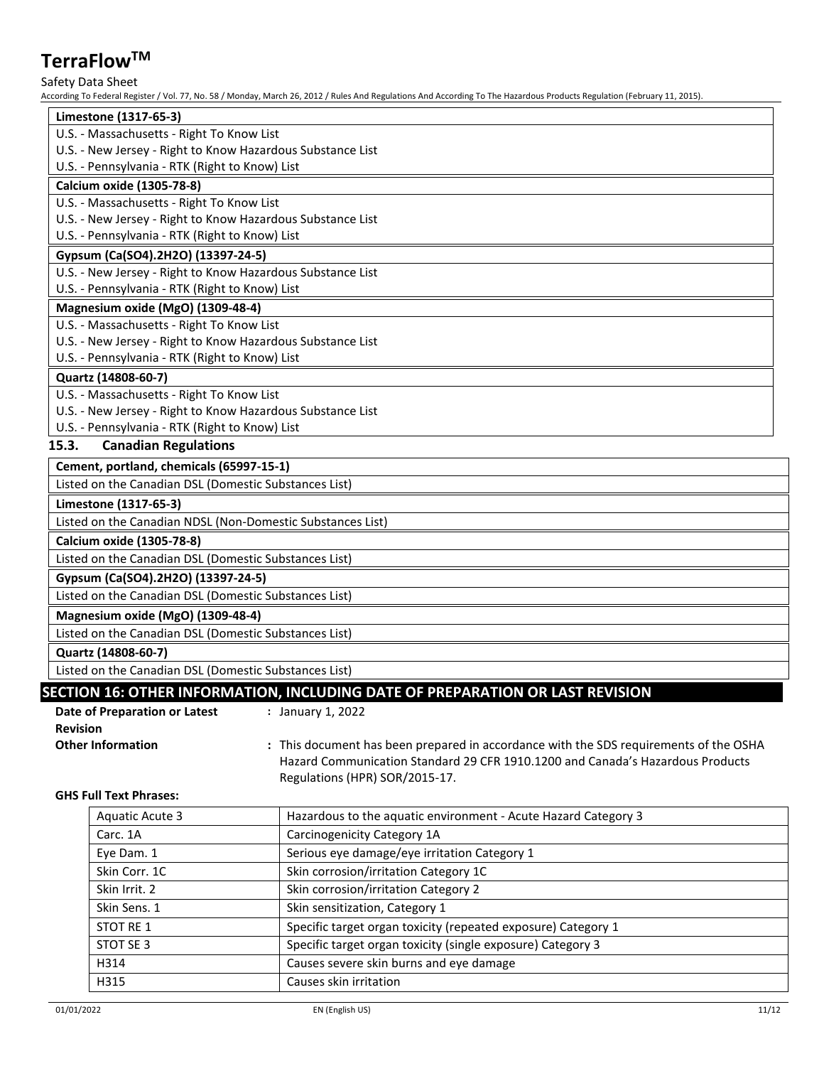### Safety Data Sheet

According To Federal Register / Vol. 77, No. 58 / Monday, March 26, 2012 / Rules And Regulations And According To The Hazardous Products Regulation (February 11, 2015).

| Limestone (1317-65-3)                                      |  |
|------------------------------------------------------------|--|
| U.S. - Massachusetts - Right To Know List                  |  |
| U.S. - New Jersey - Right to Know Hazardous Substance List |  |
| U.S. - Pennsylvania - RTK (Right to Know) List             |  |
| Calcium oxide (1305-78-8)                                  |  |
| U.S. - Massachusetts - Right To Know List                  |  |
| U.S. - New Jersey - Right to Know Hazardous Substance List |  |
| U.S. - Pennsylvania - RTK (Right to Know) List             |  |
| Gypsum (Ca(SO4).2H2O) (13397-24-5)                         |  |
| U.S. - New Jersey - Right to Know Hazardous Substance List |  |
| U.S. - Pennsylvania - RTK (Right to Know) List             |  |
| Magnesium oxide (MgO) (1309-48-4)                          |  |
| U.S. - Massachusetts - Right To Know List                  |  |
| U.S. - New Jersey - Right to Know Hazardous Substance List |  |
| U.S. - Pennsylvania - RTK (Right to Know) List             |  |
| Quartz (14808-60-7)                                        |  |
| U.S. - Massachusetts - Right To Know List                  |  |
| U.S. - New Jersey - Right to Know Hazardous Substance List |  |
| U.S. - Pennsylvania - RTK (Right to Know) List             |  |
| 15.3.<br><b>Canadian Regulations</b>                       |  |
| Cement, portland, chemicals (65997-15-1)                   |  |
| Listed on the Canadian DSL (Domestic Substances List)      |  |

### **Limestone (1317-65-3)**

Listed on the Canadian NDSL (Non-Domestic Substances List)

**Calcium oxide (1305-78-8)**

Listed on the Canadian DSL (Domestic Substances List)

**Gypsum (Ca(SO4).2H2O) (13397-24-5)**

Listed on the Canadian DSL (Domestic Substances List)

### **Magnesium oxide (MgO) (1309-48-4)**

Listed on the Canadian DSL (Domestic Substances List)

### **Quartz (14808-60-7)**

Listed on the Canadian DSL (Domestic Substances List)

## **SECTION 16: OTHER INFORMATION, INCLUDING DATE OF PREPARATION OR LAST REVISION**

**:** January 1, 2022

| Date of Preparation or Latest |  |  |
|-------------------------------|--|--|
| <b>Revision</b>               |  |  |
| <b>Other Information</b>      |  |  |

**Other Information :** This document has been prepared in accordance with the SDS requirements of the OSHA Hazard Communication Standard 29 CFR 1910.1200 and Canada's Hazardous Products Regulations (HPR) SOR/2015-17.

### **GHS Full Text Phrases:**

| <b>Aquatic Acute 3</b> | Hazardous to the aquatic environment - Acute Hazard Category 3 |
|------------------------|----------------------------------------------------------------|
| Carc. 1A               | Carcinogenicity Category 1A                                    |
| Eye Dam. 1             | Serious eye damage/eye irritation Category 1                   |
| Skin Corr. 1C          | Skin corrosion/irritation Category 1C                          |
| Skin Irrit. 2          | Skin corrosion/irritation Category 2                           |
| Skin Sens. 1           | Skin sensitization, Category 1                                 |
| STOT RE 1              | Specific target organ toxicity (repeated exposure) Category 1  |
| STOT SE 3              | Specific target organ toxicity (single exposure) Category 3    |
| H314                   | Causes severe skin burns and eye damage                        |
| H315                   | Causes skin irritation                                         |